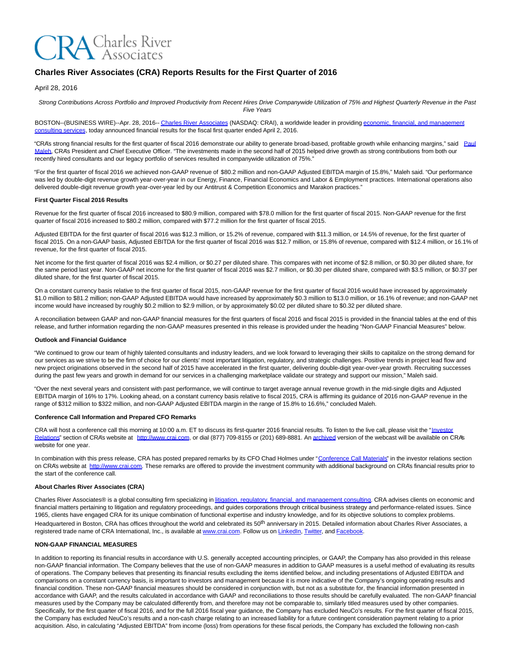

# **Charles River Associates (CRA) Reports Results for the First Quarter of 2016**

#### April 28, 2016

Strong Contributions Across Portfolio and Improved Productivity from Recent Hires Drive Companywide Utilization of 75% and Highest Quarterly Revenue in the Past Five Years

BOSTON--(BUSINESS WIRE)--Apr. 28, 2016-- [Charles River Associates \(](http://cts.businesswire.com/ct/CT?id=smartlink&url=http%3A%2F%2Fwww.crai.com%2FDefault.aspx&esheet=51330297&newsitemid=20160428005917&lan=en-US&anchor=Charles+River+Associates&index=1&md5=83500da1319b29a8b7d831855ffd57bb)NASDAQ: CRAI), a worldwide leader in providin[g economic, financial, and management](http://cts.businesswire.com/ct/CT?id=smartlink&url=http%3A%2F%2Fwww.crai.com%2FConsultingExpertise%2FDefaultCustom.aspx&esheet=51330297&newsitemid=20160428005917&lan=en-US&anchor=economic%2C+financial%2C+and+management+consulting+services&index=2&md5=6ba8903fb10c39661e53615ad2548eda) consulting services, today announced financial results for the fiscal first quarter ended April 2, 2016.

"CRA's strong financial results for the first quarter of fiscal 2016 demonstrate our ability to generate broad-based, profitable growth while enhancing margins," said [Paul](http://cts.businesswire.com/ct/CT?id=smartlink&url=http%3A%2F%2Fwww.crai.com%2Fexpert%2Fpaul-maleh&esheet=51330297&newsitemid=20160428005917&lan=en-US&anchor=Paul+Maleh&index=3&md5=70564d78cf0c27216422f1b997f816ac) Maleh, CRA's President and Chief Executive Officer. "The investments made in the second half of 2015 helped drive growth as strong contributions from both our recently hired consultants and our legacy portfolio of services resulted in companywide utilization of 75%."

"For the first quarter of fiscal 2016 we achieved non-GAAP revenue of \$80.2 million and non-GAAP Adjusted EBITDA margin of 15.8%," Maleh said. "Our performance was led by double-digit revenue growth year-over-year in our Energy, Finance, Financial Economics and Labor & Employment practices. International operations also delivered double-digit revenue growth year-over-year led by our Antitrust & Competition Economics and Marakon practices."

#### **First Quarter Fiscal 2016 Results**

Revenue for the first quarter of fiscal 2016 increased to \$80.9 million, compared with \$78.0 million for the first quarter of fiscal 2015. Non-GAAP revenue for the first quarter of fiscal 2016 increased to \$80.2 million, compared with \$77.2 million for the first quarter of fiscal 2015.

Adjusted EBITDA for the first quarter of fiscal 2016 was \$12.3 million, or 15.2% of revenue, compared with \$11.3 million, or 14.5% of revenue, for the first quarter of fiscal 2015. On a non-GAAP basis, Adjusted EBITDA for the first quarter of fiscal 2016 was \$12.7 million, or 15.8% of revenue, compared with \$12.4 million, or 16.1% of revenue, for the first quarter of fiscal 2015.

Net income for the first quarter of fiscal 2016 was \$2.4 million, or \$0.27 per diluted share. This compares with net income of \$2.8 million, or \$0.30 per diluted share, for the same period last year. Non-GAAP net income for the first quarter of fiscal 2016 was \$2.7 million, or \$0.30 per diluted share, compared with \$3.5 million, or \$0.37 per diluted share, for the first quarter of fiscal 2015.

On a constant currency basis relative to the first quarter of fiscal 2015, non-GAAP revenue for the first quarter of fiscal 2016 would have increased by approximately \$1.0 million to \$81.2 million; non-GAAP Adjusted EBITDA would have increased by approximately \$0.3 million to \$13.0 million, or 16.1% of revenue; and non-GAAP net income would have increased by roughly \$0.2 million to \$2.9 million, or by approximately \$0.02 per diluted share to \$0.32 per diluted share.

A reconciliation between GAAP and non-GAAP financial measures for the first quarters of fiscal 2016 and fiscal 2015 is provided in the financial tables at the end of this release, and further information regarding the non-GAAP measures presented in this release is provided under the heading "Non-GAAP Financial Measures" below.

#### **Outlook and Financial Guidance**

"We continued to grow our team of highly talented consultants and industry leaders, and we look forward to leveraging their skills to capitalize on the strong demand for our services as we strive to be the firm of choice for our clients' most important litigation, regulatory, and strategic challenges. Positive trends in project lead flow and new project originations observed in the second half of 2015 have accelerated in the first quarter, delivering double-digit year-over-year growth. Recruiting successes during the past few years and growth in demand for our services in a challenging marketplace validate our strategy and support our mission," Maleh said.

"Over the next several years and consistent with past performance, we will continue to target average annual revenue growth in the mid-single digits and Adjusted EBITDA margin of 16% to 17%. Looking ahead, on a constant currency basis relative to fiscal 2015, CRA is affirming its guidance of 2016 non-GAAP revenue in the range of \$312 million to \$322 million, and non-GAAP Adjusted EBITDA margin in the range of 15.8% to 16.6%," concluded Maleh.

#### **Conference Call Information and Prepared CFO Remarks**

CRA will host a conference call this morning at 10:00 a.m. ET to discuss its first-quarter 2016 financial results. To listen to the live call, please visit the ["Investor](http://cts.businesswire.com/ct/CT?id=smartlink&url=http%3A%2F%2Fphx.corporate-ir.net%2Fphoenix.zhtml%3Fc%3D97435%26p%3Dirol-IRHome&esheet=51330297&newsitemid=20160428005917&lan=en-US&anchor=Investor+Relations&index=4&md5=561e28950897107ef07ebb84185f8d8f) Relations" section of CRA's website at [http://www.crai.com,](http://cts.businesswire.com/ct/CT?id=smartlink&url=http%3A%2F%2Fwww.crai.com%2FDefault.aspx&esheet=51330297&newsitemid=20160428005917&lan=en-US&anchor=http%3A%2F%2Fwww.crai.com&index=5&md5=9faad139ad2560b789d0733bf5a38705) or dial (877) 709-8155 or (201) 689-8881. A[n archived v](http://cts.businesswire.com/ct/CT?id=smartlink&url=http%3A%2F%2Fphx.corporate-ir.net%2Fphoenix.zhtml%3Fc%3D97435%26p%3Dirol-calendarpast&esheet=51330297&newsitemid=20160428005917&lan=en-US&anchor=archived&index=6&md5=c63ff7d3b208b10654ad0389212d916a)ersion of the webcast will be available on CRA's website for one year.

In combination with this press release, CRA has posted prepared remarks by its CFO Chad Holmes under ["Conference Call Materials"](http://cts.businesswire.com/ct/CT?id=smartlink&url=http%3A%2F%2Fphx.corporate-ir.net%2Fphoenix.zhtml%3Fc%3D97435%26p%3Dirol-presentations&esheet=51330297&newsitemid=20160428005917&lan=en-US&anchor=Conference+Call+Materials&index=7&md5=9857313bdbcffe36a3e19f0155c357a5) in the investor relations section on CRA's website at [http://www.crai.com.](http://cts.businesswire.com/ct/CT?id=smartlink&url=http%3A%2F%2Fwww.crai.com%2FDefault.aspx&esheet=51330297&newsitemid=20160428005917&lan=en-US&anchor=http%3A%2F%2Fwww.crai.com&index=8&md5=2cf33fd370756099e8da77b8b66d66fa) These remarks are offered to provide the investment community with additional background on CRA's financial results prior to the start of the conference call.

#### **About Charles River Associates (CRA)**

Charles River Associates® is a global consulting firm specializing i[n litigation, regulatory, financial, and management consulting.](http://cts.businesswire.com/ct/CT?id=smartlink&url=http%3A%2F%2Fwww.crai.com%2F&esheet=51330297&newsitemid=20160428005917&lan=en-US&anchor=litigation%2C+regulatory%2C+financial%2C+and+management+consulting&index=9&md5=10d51e7787e9a35f45880ec7a68b4ea0) CRA advises clients on economic and financial matters pertaining to litigation and regulatory proceedings, and guides corporations through critical business strategy and performance-related issues. Since 1965, clients have engaged CRA for its unique combination of functional expertise and industry knowledge, and for its objective solutions to complex problems. Headquartered in Boston, CRA has offices throughout the world and celebrated its 50<sup>th</sup> anniversary in 2015. Detailed information about Charles River Associates, a registered trade name of CRA International, Inc., is available a[t www.crai.com.](http://cts.businesswire.com/ct/CT?id=smartlink&url=http%3A%2F%2Fwww.crai.com&esheet=51330297&newsitemid=20160428005917&lan=en-US&anchor=www.crai.com&index=10&md5=a24f45929afbdeed5f280cf18cc44918) Follow us o[n LinkedIn,](http://cts.businesswire.com/ct/CT?id=smartlink&url=https%3A%2F%2Fwww.linkedin.com%2Fcompany%2Fcharles-river-associates&esheet=51330297&newsitemid=20160428005917&lan=en-US&anchor=LinkedIn&index=11&md5=3fe1555463f52e1bca1520a613234504) [Twitter,](http://cts.businesswire.com/ct/CT?id=smartlink&url=https%3A%2F%2Ftwitter.com%2FNews_CRA&esheet=51330297&newsitemid=20160428005917&lan=en-US&anchor=Twitter&index=12&md5=afbad8fd4353c85751c33d6ccbbfc46b) an[d Facebook.](http://cts.businesswire.com/ct/CT?id=smartlink&url=https%3A%2F%2Fwww.facebook.com%2FCharlesRiverAssociates&esheet=51330297&newsitemid=20160428005917&lan=en-US&anchor=Facebook&index=13&md5=9fb7b20386ad4836a59ee67e8dcad8ce)

#### **NON-GAAP FINANCIAL MEASURES**

In addition to reporting its financial results in accordance with U.S. generally accepted accounting principles, or GAAP, the Company has also provided in this release non-GAAP financial information. The Company believes that the use of non-GAAP measures in addition to GAAP measures is a useful method of evaluating its results of operations. The Company believes that presenting its financial results excluding the items identified below, and including presentations of Adjusted EBITDA and comparisons on a constant currency basis, is important to investors and management because it is more indicative of the Company's ongoing operating results and financial condition. These non-GAAP financial measures should be considered in conjunction with, but not as a substitute for, the financial information presented in accordance with GAAP, and the results calculated in accordance with GAAP and reconciliations to those results should be carefully evaluated. The non-GAAP financial measures used by the Company may be calculated differently from, and therefore may not be comparable to, similarly titled measures used by other companies. Specifically, for the first quarter of fiscal 2016, and for the full 2016 fiscal year guidance, the Company has excluded NeuCo's results. For the first quarter of fiscal 2015, the Company has excluded NeuCo's results and a non-cash charge relating to an increased liability for a future contingent consideration payment relating to a prior acquisition. Also, in calculating "Adjusted EBITDA" from income (loss) from operations for these fiscal periods, the Company has excluded the following non-cash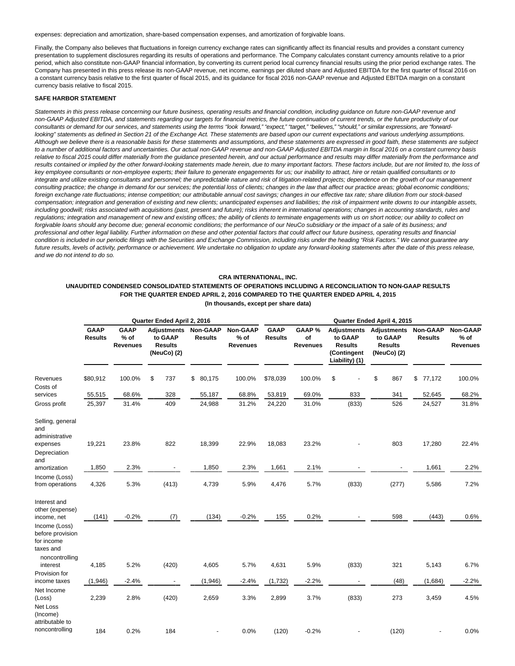expenses: depreciation and amortization, share-based compensation expenses, and amortization of forgivable loans.

Finally, the Company also believes that fluctuations in foreign currency exchange rates can significantly affect its financial results and provides a constant currency presentation to supplement disclosures regarding its results of operations and performance. The Company calculates constant currency amounts relative to a prior period, which also constitute non-GAAP financial information, by converting its current period local currency financial results using the prior period exchange rates. The Company has presented in this press release its non-GAAP revenue, net income, earnings per diluted share and Adjusted EBITDA for the first quarter of fiscal 2016 on a constant currency basis relative to the first quarter of fiscal 2015, and its guidance for fiscal 2016 non-GAAP revenue and Adjusted EBITDA margin on a constant currency basis relative to fiscal 2015.

## **SAFE HARBOR STATEMENT**

Statements in this press release concerning our future business, operating results and financial condition, including guidance on future non-GAAP revenue and non-GAAP Adjusted EBITDA, and statements regarding our targets for financial metrics, the future continuation of current trends, or the future productivity of our consultants or demand for our services, and statements using the terms "look forward," "expect," "target," "believes," "should," or similar expressions, are "forwardlooking" statements as defined in Section 21 of the Exchange Act. These statements are based upon our current expectations and various underlying assumptions. Although we believe there is a reasonable basis for these statements and assumptions, and these statements are expressed in good faith, these statements are subject to a number of additional factors and uncertainties. Our actual non-GAAP revenue and non-GAAP Adjusted EBITDA margin in fiscal 2016 on a constant currency basis relative to fiscal 2015 could differ materially from the guidance presented herein, and our actual performance and results may differ materially from the performance and results contained or implied by the other forward-looking statements made herein, due to many important factors. These factors include, but are not limited to, the loss of key employee consultants or non-employee experts; their failure to generate engagements for us; our inability to attract, hire or retain qualified consultants or to integrate and utilize existing consultants and personnel; the unpredictable nature and risk of litigation-related projects; dependence on the growth of our management consulting practice; the change in demand for our services; the potential loss of clients; changes in the law that affect our practice areas; global economic conditions; foreign exchange rate fluctuations; intense competition; our attributable annual cost savings; changes in our effective tax rate; share dilution from our stock-based compensation; integration and generation of existing and new clients; unanticipated expenses and liabilities; the risk of impairment write downs to our intangible assets, including goodwill; risks associated with acquisitions (past, present and future); risks inherent in international operations; changes in accounting standards, rules and regulations; integration and management of new and existing offices; the ability of clients to terminate engagements with us on short notice; our ability to collect on forgivable loans should any become due; general economic conditions; the performance of our NeuCo subsidiary or the impact of a sale of its business; and professional and other legal liability. Further information on these and other potential factors that could affect our future business, operating results and financial condition is included in our periodic filings with the Securities and Exchange Commission, including risks under the heading "Risk Factors." We cannot guarantee any future results, levels of activity, performance or achievement. We undertake no obligation to update any forward-looking statements after the date of this press release, and we do not intend to do so.

#### **CRA INTERNATIONAL, INC.**

## **UNAUDITED CONDENSED CONSOLIDATED STATEMENTS OF OPERATIONS INCLUDING A RECONCILIATION TO NON-GAAP RESULTS FOR THE QUARTER ENDED APRIL 2, 2016 COMPARED TO THE QUARTER ENDED APRIL 4, 2015 (In thousands, except per share data)**

|                                                                                                                | Quarter Ended April 2, 2016   |                                   |                                                                |                                   |                                       |                               | Quarter Ended April 4, 2015     |                                                            |                                                                            |                            |                                              |  |  |  |
|----------------------------------------------------------------------------------------------------------------|-------------------------------|-----------------------------------|----------------------------------------------------------------|-----------------------------------|---------------------------------------|-------------------------------|---------------------------------|------------------------------------------------------------|----------------------------------------------------------------------------|----------------------------|----------------------------------------------|--|--|--|
|                                                                                                                | <b>GAAP</b><br><b>Results</b> | <b>GAAP</b><br>$%$ of<br>Revenues | <b>Adjustments</b><br>to GAAP<br><b>Results</b><br>(NeuCo) (2) | <b>Non-GAAP</b><br><b>Results</b> | Non-GAAP<br>$%$ of<br><b>Revenues</b> | <b>GAAP</b><br><b>Results</b> | GAAP %<br>of<br><b>Revenues</b> | to GAAP<br><b>Results</b><br>(Contingent<br>Liability) (1) | <b>Adjustments Adjustments</b><br>to GAAP<br><b>Results</b><br>(NeuCo) (2) | Non-GAAP<br><b>Results</b> | <b>Non-GAAP</b><br>$%$ of<br><b>Revenues</b> |  |  |  |
| Revenues<br>Costs of                                                                                           | \$80,912                      | 100.0%                            | \$<br>737                                                      | 80,175<br>\$                      | 100.0%                                | \$78,039                      | 100.0%                          | \$                                                         | \$<br>867                                                                  | \$<br>77,172               | 100.0%                                       |  |  |  |
| services                                                                                                       | 55,515                        | 68.6%                             | 328                                                            | 55,187                            | 68.8%                                 | 53,819                        | 69.0%                           | 833                                                        | 341                                                                        | 52,645                     | 68.2%                                        |  |  |  |
| Gross profit                                                                                                   | 25,397                        | 31.4%                             | 409                                                            | 24,988                            | 31.2%                                 | 24,220                        | 31.0%                           | (833)                                                      | 526                                                                        | 24,527                     | 31.8%                                        |  |  |  |
| Selling, general<br>and<br>administrative<br>expenses<br>Depreciation<br>and<br>amortization                   | 19,221<br>1,850               | 23.8%<br>2.3%                     | 822                                                            | 18,399<br>1,850                   | 22.9%<br>2.3%                         | 18,083<br>1,661               | 23.2%<br>2.1%                   |                                                            | 803                                                                        | 17,280<br>1,661            | 22.4%<br>2.2%                                |  |  |  |
| Income (Loss)                                                                                                  |                               |                                   |                                                                |                                   |                                       |                               |                                 |                                                            |                                                                            |                            |                                              |  |  |  |
| from operations                                                                                                | 4,326                         | 5.3%                              | (413)                                                          | 4,739                             | 5.9%                                  | 4,476                         | 5.7%                            | (833)                                                      | (277)                                                                      | 5,586                      | 7.2%                                         |  |  |  |
| Interest and<br>other (expense)<br>income, net<br>Income (Loss)<br>before provision<br>for income<br>taxes and | (141)                         | $-0.2%$                           | (7)                                                            | (134)                             | $-0.2%$                               | 155                           | 0.2%                            |                                                            | 598                                                                        | (443)                      | 0.6%                                         |  |  |  |
| noncontrolling<br>interest<br>Provision for                                                                    | 4,185                         | 5.2%                              | (420)                                                          | 4,605                             | 5.7%                                  | 4,631                         | 5.9%                            | (833)                                                      | 321                                                                        | 5,143                      | 6.7%                                         |  |  |  |
| income taxes                                                                                                   | (1,946)                       | $-2.4%$                           |                                                                | (1,946)                           | $-2.4%$                               | (1,732)                       | $-2.2%$                         |                                                            | (48)                                                                       | (1,684)                    | $-2.2%$                                      |  |  |  |
| Net Income<br>(Loss)<br>Net Loss<br>(Income)                                                                   | 2,239                         | 2.8%                              | (420)                                                          | 2,659                             | 3.3%                                  | 2,899                         | 3.7%                            | (833)                                                      | 273                                                                        | 3,459                      | 4.5%                                         |  |  |  |
| attributable to<br>noncontrolling                                                                              | 184                           | 0.2%                              | 184                                                            |                                   | 0.0%                                  | (120)                         | $-0.2%$                         |                                                            | (120)                                                                      |                            | 0.0%                                         |  |  |  |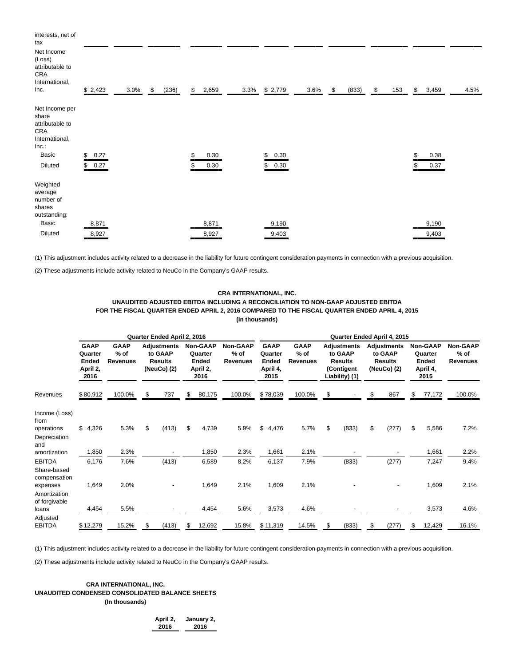| interests, net of<br>tax<br>Net Income<br>(Loss)<br>attributable to<br>CRA<br>International,<br>Inc. | \$2,423    | 3.0% | \$<br>(236) | \$<br>2,659 | 3.3% | \$2,779    | 3.6% | \$<br>(833) | \$<br>153 | \$<br>3,459 | 4.5% |
|------------------------------------------------------------------------------------------------------|------------|------|-------------|-------------|------|------------|------|-------------|-----------|-------------|------|
| Net Income per<br>share<br>attributable to<br>CRA<br>International,<br>Inc.<br>Basic                 | \$<br>0.27 |      |             | \$<br>0.30  |      | \$<br>0.30 |      |             |           | 0.38        |      |
| Diluted                                                                                              | \$0.27     |      |             | \$<br>0.30  |      | \$<br>0.30 |      |             |           | 0.37        |      |
| Weighted<br>average<br>number of<br>shares<br>outstanding:                                           |            |      |             |             |      |            |      |             |           |             |      |
| Basic                                                                                                | 8,871      |      |             | 8,871       |      | 9,190      |      |             |           | 9,190       |      |
| Diluted                                                                                              | 8,927      |      |             | 8,927       |      | 9,403      |      |             |           | 9,403       |      |

(1) This adjustment includes activity related to a decrease in the liability for future contingent consideration payments in connection with a previous acquisition.

(2) These adjustments include activity related to NeuCo in the Company's GAAP results.

## **CRA INTERNATIONAL, INC. UNAUDITED ADJUSTED EBITDA INCLUDING A RECONCILIATION TO NON-GAAP ADJUSTED EBITDA FOR THE FISCAL QUARTER ENDED APRIL 2, 2016 COMPARED TO THE FISCAL QUARTER ENDED APRIL 4, 2015 (In thousands)**

|                                                         | Quarter Ended April 2, 2016                                |                                          |    |                                                                |    |                                                         |                                       | Quarter Ended April 4, 2015                                |                                          |    |                                                                                 |    |                                                                |    |                                                         |                                       |
|---------------------------------------------------------|------------------------------------------------------------|------------------------------------------|----|----------------------------------------------------------------|----|---------------------------------------------------------|---------------------------------------|------------------------------------------------------------|------------------------------------------|----|---------------------------------------------------------------------------------|----|----------------------------------------------------------------|----|---------------------------------------------------------|---------------------------------------|
|                                                         | <b>GAAP</b><br>Quarter<br><b>Ended</b><br>April 2,<br>2016 | <b>GAAP</b><br>$%$ of<br><b>Revenues</b> |    | <b>Adjustments</b><br>to GAAP<br><b>Results</b><br>(NeuCo) (2) |    | Non-GAAP<br>Quarter<br><b>Ended</b><br>April 2,<br>2016 | Non-GAAP<br>$%$ of<br><b>Revenues</b> | <b>GAAP</b><br>Quarter<br><b>Ended</b><br>April 4,<br>2015 | <b>GAAP</b><br>$%$ of<br><b>Revenues</b> |    | <b>Adjustments</b><br>to GAAP<br><b>Results</b><br>(Contigent<br>Liability) (1) |    | <b>Adjustments</b><br>to GAAP<br><b>Results</b><br>(NeuCo) (2) |    | Non-GAAP<br>Quarter<br><b>Ended</b><br>April 4,<br>2015 | Non-GAAP<br>$%$ of<br><b>Revenues</b> |
| Revenues                                                | \$80,912                                                   | 100.0%                                   | \$ | 737                                                            | \$ | 80,175                                                  | 100.0%                                | \$78,039                                                   | 100.0%                                   | \$ |                                                                                 | \$ | 867                                                            | \$ | 77,172                                                  | 100.0%                                |
| Income (Loss)<br>from<br>operations<br>Depreciation     | \$4,326                                                    | 5.3%                                     | \$ | (413)                                                          | \$ | 4,739                                                   | 5.9%                                  | \$<br>4,476                                                | 5.7%                                     | \$ | (833)                                                                           | \$ | (277)                                                          | \$ | 5,586                                                   | 7.2%                                  |
| and<br>amortization                                     | 1,850                                                      | 2.3%                                     |    |                                                                |    | 1,850                                                   | 2.3%                                  | 1,661                                                      | 2.1%                                     |    |                                                                                 |    |                                                                |    | 1,661                                                   | 2.2%                                  |
| <b>EBITDA</b>                                           | 6,176                                                      | 7.6%                                     |    | (413)                                                          |    | 6,589                                                   | 8.2%                                  | 6,137                                                      | 7.9%                                     |    | (833)                                                                           |    | (277)                                                          |    | 7,247                                                   | 9.4%                                  |
| Share-based<br>compensation<br>expenses<br>Amortization | 1,649                                                      | 2.0%                                     |    |                                                                |    | 1,649                                                   | 2.1%                                  | 1,609                                                      | 2.1%                                     |    |                                                                                 |    |                                                                |    | 1,609                                                   | 2.1%                                  |
| of forgivable<br>loans                                  | 4,454                                                      | 5.5%                                     |    |                                                                |    | 4,454                                                   | 5.6%                                  | 3,573                                                      | 4.6%                                     |    |                                                                                 |    |                                                                |    | 3,573                                                   | 4.6%                                  |
| Adjusted<br><b>EBITDA</b>                               | \$12,279                                                   | 15.2%                                    |    | (413)                                                          | \$ | 12,692                                                  | 15.8%                                 | \$11,319                                                   | 14.5%                                    | \$ | (833)                                                                           | \$ | (277)                                                          | \$ | 12,429                                                  | 16.1%                                 |

(1) This adjustment includes activity related to a decrease in the liability for future contingent consideration payments in connection with a previous acquisition.

(2) These adjustments include activity related to NeuCo in the Company's GAAP results.

## **CRA INTERNATIONAL, INC. UNAUDITED CONDENSED CONSOLIDATED BALANCE SHEETS (In thousands)**

**April 2, January 2, 2016 2016**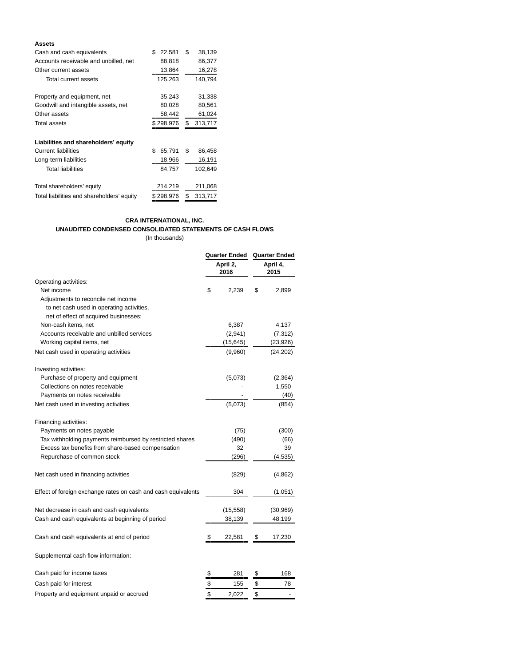## **Assets**

| Cash and cash equivalents                  | \$<br>22,581 | \$ | 38,139  |
|--------------------------------------------|--------------|----|---------|
| Accounts receivable and unbilled, net      | 88,818       |    | 86,377  |
| Other current assets                       | 13,864       |    | 16,278  |
| Total current assets                       | 125,263      |    | 140,794 |
| Property and equipment, net                | 35,243       |    | 31,338  |
| Goodwill and intangible assets, net        | 80,028       |    | 80,561  |
| Other assets                               | 58,442       |    | 61,024  |
| Total assets                               | \$298,976    | \$ | 313,717 |
| Liabilities and shareholders' equity       |              |    |         |
| <b>Current liabilities</b>                 | \$<br>65,791 | \$ | 86,458  |
| Long-term liabilities                      | 18,966       |    | 16,191  |
| <b>Total liabilities</b>                   | 84,757       |    | 102,649 |
| Total shareholders' equity                 | 214,219      |    | 211,068 |
| Total liabilities and shareholders' equity | \$298,976    | S  | 313,717 |

## **CRA INTERNATIONAL, INC.**

# **UNAUDITED CONDENSED CONSOLIDATED STATEMENTS OF CASH FLOWS**

(In thousands)

|                                                               | Quarter Ended    | Quarter Ended |                  |  |  |
|---------------------------------------------------------------|------------------|---------------|------------------|--|--|
|                                                               | April 2,<br>2016 |               | April 4,<br>2015 |  |  |
| Operating activities:                                         |                  |               |                  |  |  |
| Net income                                                    | \$<br>2,239      | \$            | 2,899            |  |  |
| Adjustments to reconcile net income                           |                  |               |                  |  |  |
| to net cash used in operating activities,                     |                  |               |                  |  |  |
| net of effect of acquired businesses:                         |                  |               |                  |  |  |
| Non-cash items, net                                           | 6,387            |               | 4,137            |  |  |
| Accounts receivable and unbilled services                     | (2,941)          |               | (7, 312)         |  |  |
| Working capital items, net                                    | (15, 645)        |               | (23, 926)        |  |  |
| Net cash used in operating activities                         | (9,960)          |               | (24, 202)        |  |  |
| Investing activities:                                         |                  |               |                  |  |  |
| Purchase of property and equipment                            | (5,073)          |               | (2, 364)         |  |  |
| Collections on notes receivable                               |                  |               | 1,550            |  |  |
| Payments on notes receivable                                  |                  |               | (40)             |  |  |
| Net cash used in investing activities                         | (5,073)          |               | (854)            |  |  |
| Financing activities:                                         |                  |               |                  |  |  |
| Payments on notes payable                                     | (75)             |               | (300)            |  |  |
| Tax withholding payments reimbursed by restricted shares      | (490)            |               | (66)             |  |  |
| Excess tax benefits from share-based compensation             | 32               |               | 39               |  |  |
| Repurchase of common stock                                    | (296)            |               | (4, 535)         |  |  |
| Net cash used in financing activities                         | (829)            |               | (4,862)          |  |  |
| Effect of foreign exchange rates on cash and cash equivalents | 304              |               | (1,051)          |  |  |
| Net decrease in cash and cash equivalents                     | (15, 558)        |               | (30, 969)        |  |  |
| Cash and cash equivalents at beginning of period              | 38,139           |               | 48,199           |  |  |
| Cash and cash equivalents at end of period                    | \$<br>22,581     | \$            | 17,230           |  |  |
| Supplemental cash flow information:                           |                  |               |                  |  |  |
| Cash paid for income taxes                                    | \$<br>281        | \$            | 168              |  |  |
| Cash paid for interest                                        | \$<br>155        | \$            | 78               |  |  |
| Property and equipment unpaid or accrued                      | \$<br>2,022      | \$            | -                |  |  |
|                                                               |                  |               |                  |  |  |